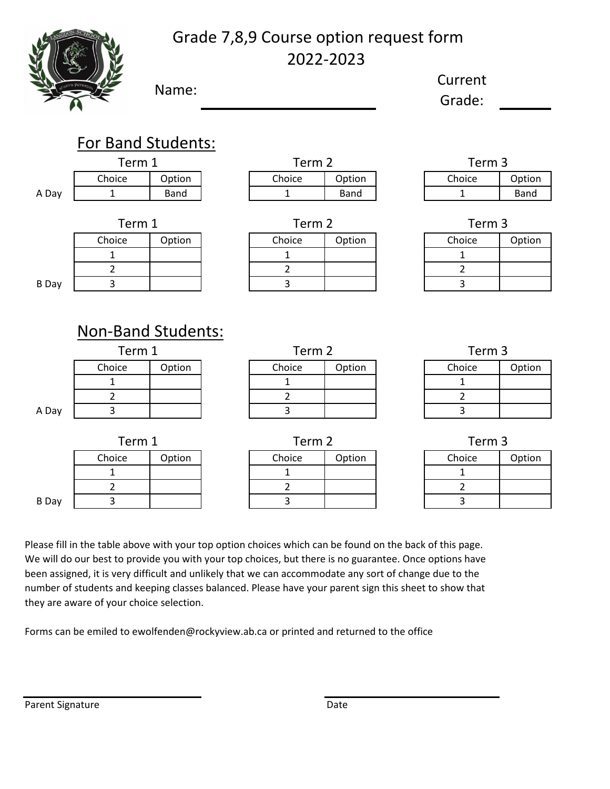

# Grade 7,8,9 Course option request form 2022-2023

Name: Current

Grade:

|              | <b>For Band Students:</b>           |             |        |                |                   |                   |                |             |
|--------------|-------------------------------------|-------------|--------|----------------|-------------------|-------------------|----------------|-------------|
|              | Term 1                              |             |        | Term 2         |                   | Term <sub>3</sub> |                |             |
|              | Choice                              | Option      |        | Choice         | Option            |                   | Choice         | Option      |
| A Day        | $\mathbf{1}$                        | <b>Band</b> |        | $\mathbf{1}$   | <b>Band</b>       |                   | $\mathbf{1}$   | <b>Band</b> |
|              | Term 1                              |             | Term 2 |                | Term <sub>3</sub> |                   |                |             |
|              | Choice                              | Option      |        | Choice         | Option            |                   | Choice         | Option      |
|              | 1                                   |             |        | $\mathbf{1}$   |                   |                   | $\mathbf{1}$   |             |
|              | $\overline{2}$                      |             |        | $\overline{2}$ |                   |                   | $\overline{2}$ |             |
| <b>B</b> Day | 3                                   |             |        | 3              |                   |                   | 3              |             |
|              | <b>Non-Band Students:</b><br>Term 1 |             | Term 2 |                |                   | Term 3            |                |             |
|              | Choice                              | Option      |        | Choice         | Option            |                   | Choice         | Option      |
|              | 1                                   |             |        | $\mathbf{1}$   |                   |                   | $\mathbf{1}$   |             |
|              | $\overline{2}$                      |             |        | $\overline{2}$ |                   |                   |                |             |
| A Day        |                                     |             |        |                |                   |                   | $\overline{2}$ |             |
|              | $\overline{3}$                      |             |        | 3              |                   |                   | 3              |             |
|              | Term 1                              |             |        | Term 2         |                   |                   | Term 3         |             |
|              | Choice                              | Option      |        | Choice         | Option            |                   | Choice         | Option      |
|              | $\mathbf{1}$                        |             |        | $\mathbf{1}$   |                   |                   | $\mathbf{1}$   |             |
|              | $\overline{2}$                      |             |        | $\overline{2}$ |                   |                   | $\overline{2}$ |             |

Please fill in the table above with your top option choices which can be found on the back of this page. We will do our best to provide you with your top choices, but there is no guarantee. Once options have been assigned, it is very difficult and unlikely that we can accommodate any sort of change due to the number of students and keeping classes balanced. Please have your parent sign this sheet to show that they are aware of your choice selection.

Forms can be emiled to ewolfenden@rockyview.ab.ca or printed and returned to the office